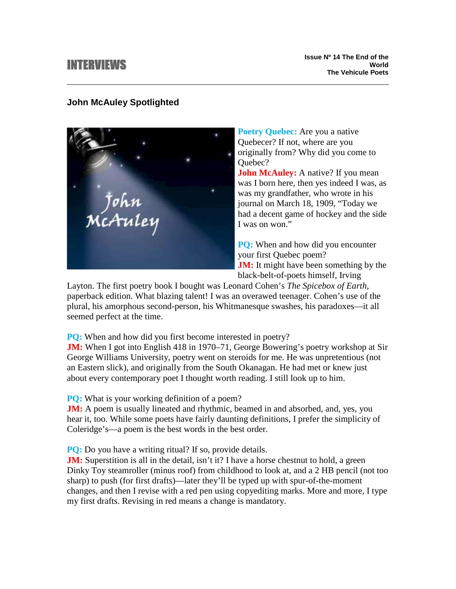# INTERVIEWS

# **John McAuley Spotlighted**

\_\_<br>МсАиlеу

**Poetry Quebec:** Are you a native Quebecer? If not, where are you originally from? Why did you come to Ouebec?

**John McAuley:** A native? If you mean was I born here, then yes indeed I was, as was my grandfather, who wrote in his journal on March 18, 1909, "Today we had a decent game of hockey and the side I was on won."

**PQ:** When and how did you encounter your first Quebec poem? **JM:** It might have been something by the black-belt-of-poets himself, Irving

Layton. The first poetry book I bought was Leonard Cohen's *The Spicebox of Earth*, paperback edition. What blazing talent! I was an overawed teenager. Cohen's use of the plural, his amorphous second-person, his Whitmanesque swashes, his paradoxes––it all seemed perfect at the time.

**PQ:** When and how did you first become interested in poetry?

**JM:** When I got into English 418 in 1970–71, George Bowering's poetry workshop at Sir George Williams University, poetry went on steroids for me. He was unpretentious (not an Eastern slick), and originally from the South Okanagan. He had met or knew just about every contemporary poet I thought worth reading. I still look up to him.

**PO:** What is your working definition of a poem?

**JM:** A poem is usually lineated and rhythmic, beamed in and absorbed, and, yes, you hear it, too. While some poets have fairly daunting definitions, I prefer the simplicity of Coleridge's––a poem is the best words in the best order.

**PQ:** Do you have a writing ritual? If so, provide details.

**JM:** Superstition is all in the detail, isn't it? I have a horse chestnut to hold, a green Dinky Toy steamroller (minus roof) from childhood to look at, and a 2 HB pencil (not too sharp) to push (for first drafts)––later they'll be typed up with spur-of-the-moment changes, and then I revise with a red pen using copyediting marks. More and more, I type my first drafts. Revising in red means a change is mandatory.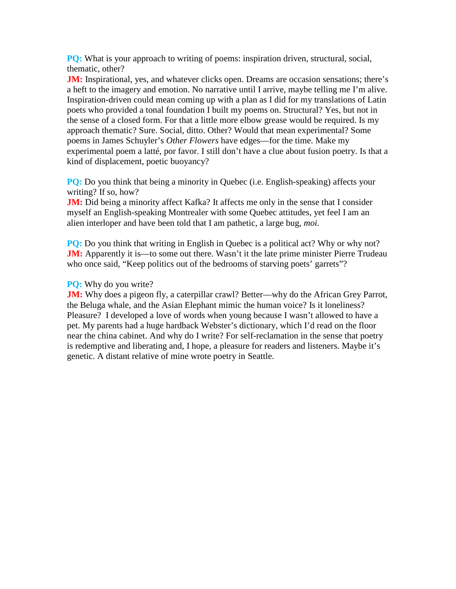**PQ:** What is your approach to writing of poems: inspiration driven, structural, social, thematic, other?

**JM:** Inspirational, yes, and whatever clicks open. Dreams are occasion sensations; there's a heft to the imagery and emotion. No narrative until I arrive, maybe telling me I'm alive. Inspiration-driven could mean coming up with a plan as I did for my translations of Latin poets who provided a tonal foundation I built my poems on. Structural? Yes, but not in the sense of a closed form. For that a little more elbow grease would be required. Is my approach thematic? Sure. Social, ditto. Other? Would that mean experimental? Some poems in James Schuyler's *Other Flowers* have edges––for the time. Make my experimental poem a latté, por favor. I still don't have a clue about fusion poetry. Is that a kind of displacement, poetic buoyancy?

**PQ:** Do you think that being a minority in Quebec (i.e. English-speaking) affects your writing? If so, how?

**JM:** Did being a minority affect Kafka? It affects me only in the sense that I consider myself an English-speaking Montrealer with some Quebec attitudes, yet feel I am an alien interloper and have been told that I am pathetic, a large bug, *moi.*

**PQ:** Do you think that writing in English in Quebec is a political act? Why or why not? **JM:** Apparently it is—to some out there. Wasn't it the late prime minister Pierre Trudeau who once said, "Keep politics out of the bedrooms of starving poets' garrets"?

## **PQ:** Why do you write?

**JM:** Why does a pigeon fly, a caterpillar crawl? Better—why do the African Grey Parrot, the Beluga whale, and the Asian Elephant mimic the human voice? Is it loneliness? Pleasure? I developed a love of words when young because I wasn't allowed to have a pet. My parents had a huge hardback Webster's dictionary, which I'd read on the floor near the china cabinet. And why do I write? For self-reclamation in the sense that poetry is redemptive and liberating and, I hope, a pleasure for readers and listeners. Maybe it's genetic. A distant relative of mine wrote poetry in Seattle.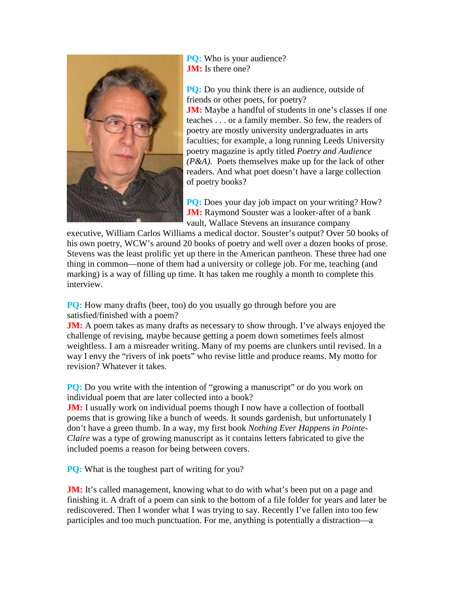

**PO:** Who is your audience? **JM:** Is there one?

**PQ:** Do you think there is an audience, outside of friends or other poets, for poetry? **JM:** Maybe a handful of students in one's classes if one teaches . . . or a family member. So few, the readers of poetry are mostly university undergraduates in arts faculties; for example, a long running Leeds University poetry magazine is aptly titled *Poetry and Audience (P&A).* Poets themselves make up for the lack of other readers. And what poet doesn't have a large collection of poetry books?

**PQ:** Does your day job impact on your writing? How? **JM:** Raymond Souster was a looker-after of a bank vault, Wallace Stevens an insurance company

executive, William Carlos Williams a medical doctor. Souster's output? Over 50 books of his own poetry, WCW's around 20 books of poetry and well over a dozen books of prose. Stevens was the least prolific yet up there in the American pantheon. These three had one thing in common––none of them had a university or college job. For me, teaching (and marking) is a way of filling up time. It has taken me roughly a month to complete this interview.

**PQ:** How many drafts (beer, too) do you usually go through before you are satisfied/finished with a poem?

**JM:** A poem takes as many drafts as necessary to show through. I've always enjoyed the challenge of revising, maybe because getting a poem down sometimes feels almost weightless. I am a misreader writing. Many of my poems are clunkers until revised. In a way I envy the "rivers of ink poets" who revise little and produce reams. My motto for revision? Whatever it takes.

**PQ:** Do you write with the intention of "growing a manuscript" or do you work on individual poem that are later collected into a book?

**JM:** I usually work on individual poems though I now have a collection of football poems that is growing like a bunch of weeds. It sounds gardenish, but unfortunately I don't have a green thumb. In a way, my first book *Nothing Ever Happens in Pointe-Claire* was a type of growing manuscript as it contains letters fabricated to give the included poems a reason for being between covers.

**PQ:** What is the toughest part of writing for you?

**JM:** It's called management, knowing what to do with what's been put on a page and finishing it. A draft of a poem can sink to the bottom of a file folder for years and later be rediscovered. Then I wonder what I was trying to say. Recently I've fallen into too few participles and too much punctuation. For me, anything is potentially a distraction––a